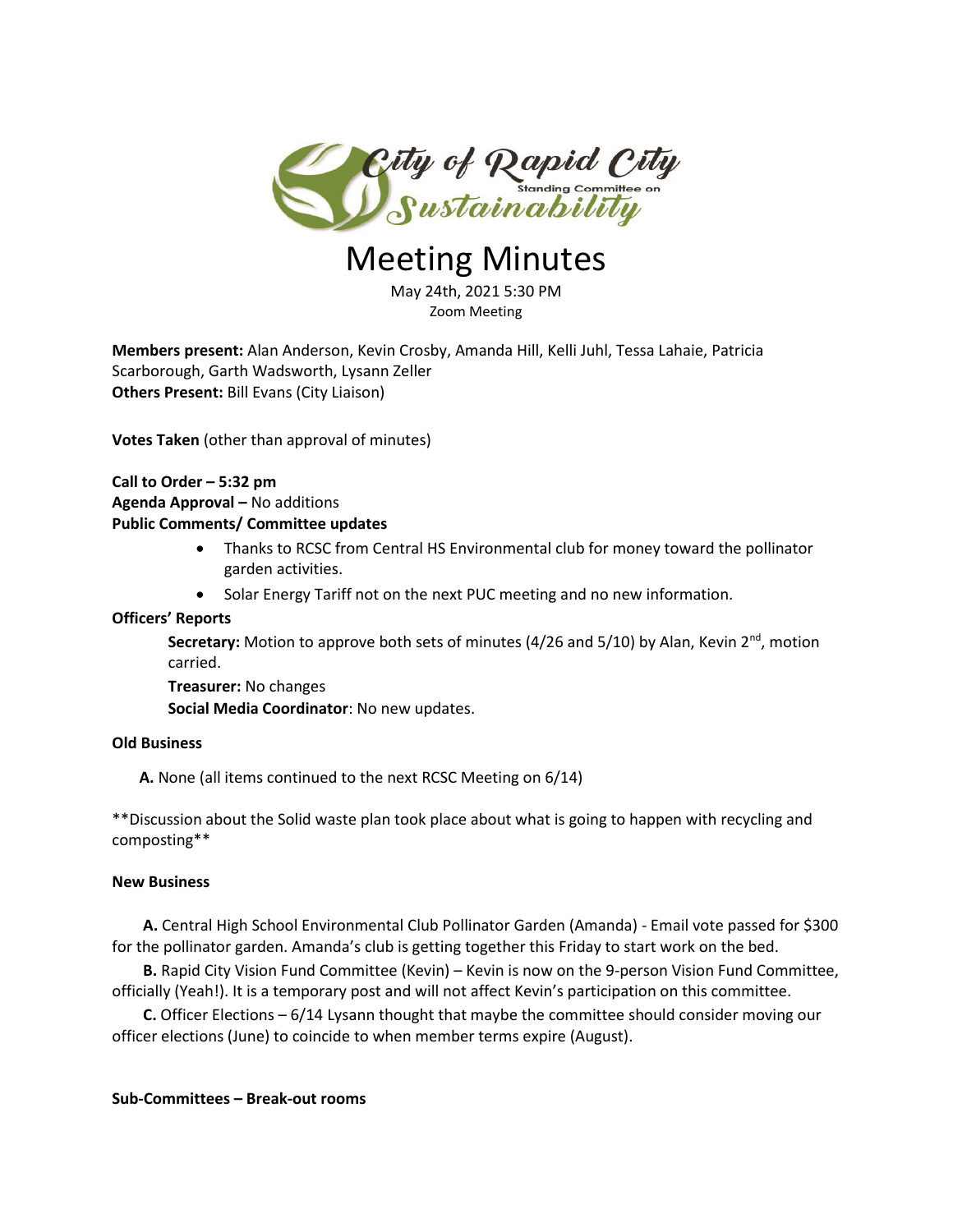

# Meeting Minutes

May 24th, 2021 5:30 PM Zoom Meeting

**Members present:** Alan Anderson, Kevin Crosby, Amanda Hill, Kelli Juhl, Tessa Lahaie, Patricia Scarborough, Garth Wadsworth, Lysann Zeller **Others Present:** Bill Evans (City Liaison)

**Votes Taken** (other than approval of minutes)

## **Call to Order – 5:32 pm Agenda Approval –** No additions **Public Comments/ Committee updates**

- Thanks to RCSC from Central HS Environmental club for money toward the pollinator garden activities.
- Solar Energy Tariff not on the next PUC meeting and no new information.

## **Officers' Reports**

**Secretary:** Motion to approve both sets of minutes (4/26 and 5/10) by Alan, Kevin 2<sup>nd</sup>, motion carried.

**Treasurer:** No changes

**Social Media Coordinator**: No new updates.

#### **Old Business**

 **A.** None (all items continued to the next RCSC Meeting on 6/14)

\*\*Discussion about the Solid waste plan took place about what is going to happen with recycling and composting\*\*

#### **New Business**

 **A.** Central High School Environmental Club Pollinator Garden (Amanda) - Email vote passed for \$300 for the pollinator garden. Amanda's club is getting together this Friday to start work on the bed.

 **B.** Rapid City Vision Fund Committee (Kevin) – Kevin is now on the 9-person Vision Fund Committee, officially (Yeah!). It is a temporary post and will not affect Kevin's participation on this committee.

 **C.** Officer Elections – 6/14 Lysann thought that maybe the committee should consider moving our officer elections (June) to coincide to when member terms expire (August).

#### **Sub-Committees – Break-out rooms**